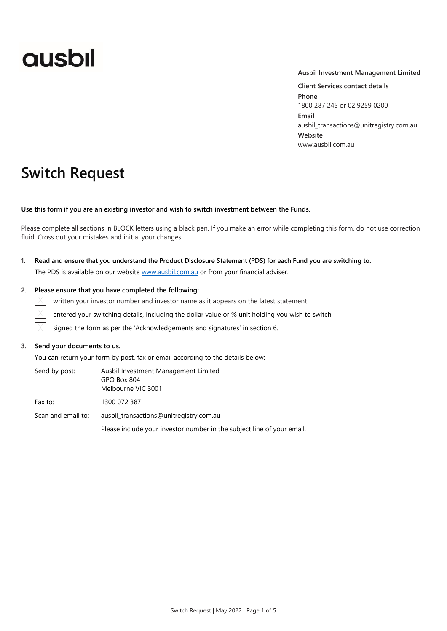# **ausbil**

## **Ausbil Investment Management Limited**

**Client Services contact details Phone** 1800 287 245 or 02 9259 0200 **Email** ausbil\_transactions@unitregistry.com.au **Website** www.ausbil.com.au

## **Switch Request**

**Use this form if you are an existing investor and wish to switch investment between the Funds.**

Please complete all sections in BLOCK letters using a black pen. If you make an error while completing this form, do not use correction fluid. Cross out your mistakes and initial your changes.

**1. Read and ensure that you understand the Product Disclosure Statement (PDS) for each Fund you are switching to.** The PDS is available on our website [www.ausbil.com.au](http://www.ausbil.com.au/) or from your financial adviser.

## **2. Please ensure that you have completed the following:**

written your investor number and investor name as it appears on the latest statement

entered your switching details, including the dollar value or % unit holding you wish to switch

signed the form as per the 'Acknowledgements and signatures' in section 6.

## **3. Send your documents to us.**

 $\times$ 

You can return your form by post, fax or email according to the details below:

| Send by post:      | Ausbil Investment Management Limited<br>GPO Box 804<br>Melbourne VIC 3001 |
|--------------------|---------------------------------------------------------------------------|
| Fax to:            | 1300 072 387                                                              |
| Scan and email to: | ausbil transactions@unitregistry.com.au                                   |
|                    | Please include your investor number in the subject line of your email.    |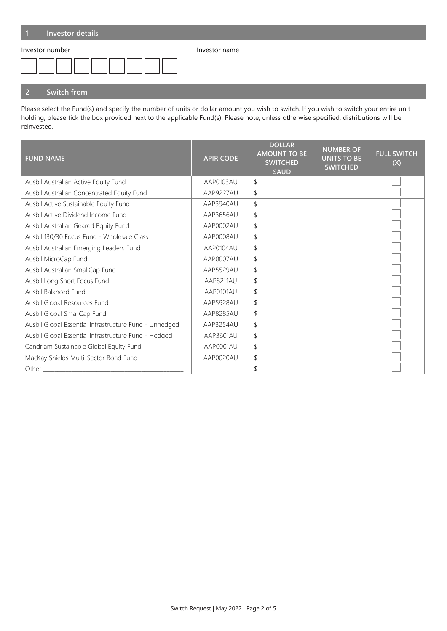| Investor details |               |
|------------------|---------------|
| Investor number  | Investor name |
|                  |               |

## **2 Switch from**

Please select the Fund(s) and specify the number of units or dollar amount you wish to switch. If you wish to switch your entire unit holding, please tick the box provided next to the applicable Fund(s). Please note, unless otherwise specified, distributions will be reinvested.

| <b>FUND NAME</b>                                       | <b>APIR CODE</b> | <b>DOLLAR</b><br><b>AMOUNT TO BE</b><br><b>SWITCHED</b><br>\$AUD | <b>NUMBER OF</b><br><b>UNITS TO BE</b><br><b>SWITCHED</b> | <b>FULL SWITCH</b><br>(X) |
|--------------------------------------------------------|------------------|------------------------------------------------------------------|-----------------------------------------------------------|---------------------------|
| Ausbil Australian Active Equity Fund                   | AAP0103AU        | \$                                                               |                                                           |                           |
| Ausbil Australian Concentrated Equity Fund             | AAP9227AU        | \$                                                               |                                                           |                           |
| Ausbil Active Sustainable Equity Fund                  | AAP3940AU        | \$                                                               |                                                           |                           |
| Ausbil Active Dividend Income Fund                     | AAP3656AU        | \$                                                               |                                                           |                           |
| Ausbil Australian Geared Equity Fund                   | AAP0002AU        | \$                                                               |                                                           |                           |
| Ausbil 130/30 Focus Fund - Wholesale Class             | AAP0008AU        | \$                                                               |                                                           |                           |
| Ausbil Australian Emerging Leaders Fund                | AAP0104AU        | \$                                                               |                                                           |                           |
| Ausbil MicroCap Fund                                   | AAP0007AU        | \$                                                               |                                                           |                           |
| Ausbil Australian SmallCap Fund                        | AAP5529AU        | \$                                                               |                                                           |                           |
| Ausbil Long Short Focus Fund                           | AAP8211AU        | \$                                                               |                                                           |                           |
| Ausbil Balanced Fund                                   | AAP0101AU        | \$                                                               |                                                           |                           |
| Ausbil Global Resources Fund                           | AAP5928AU        | \$                                                               |                                                           |                           |
| Ausbil Global SmallCap Fund                            | AAP8285AU        | \$                                                               |                                                           |                           |
| Ausbil Global Essential Infrastructure Fund - Unhedged | AAP3254AU        | \$                                                               |                                                           |                           |
| Ausbil Global Essential Infrastructure Fund - Hedged   | AAP3601AU        | \$                                                               |                                                           |                           |
| Candriam Sustainable Global Equity Fund                | AAP0001AU        | \$                                                               |                                                           |                           |
| MacKay Shields Multi-Sector Bond Fund                  | AAP0020AU        | \$                                                               |                                                           |                           |
| Other                                                  |                  | \$                                                               |                                                           |                           |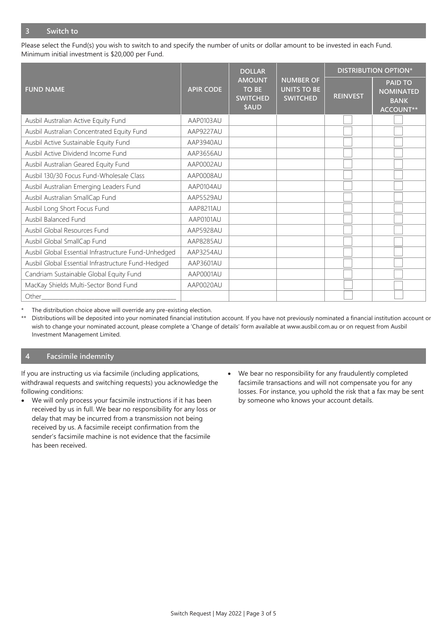Please select the Fund(s) you wish to switch to and specify the number of units or dollar amount to be invested in each Fund. Minimum initial investment is \$20,000 per Fund.

|                                                      |                  | <b>DOLLAR</b>                                             |                                                           |                 | <b>DISTRIBUTION OPTION*</b>                                           |
|------------------------------------------------------|------------------|-----------------------------------------------------------|-----------------------------------------------------------|-----------------|-----------------------------------------------------------------------|
| <b>FUND NAME</b>                                     | <b>APIR CODE</b> | <b>AMOUNT</b><br><b>TO BE</b><br><b>SWITCHED</b><br>\$AUD | <b>NUMBER OF</b><br><b>UNITS TO BE</b><br><b>SWITCHED</b> | <b>REINVEST</b> | <b>PAID TO</b><br><b>NOMINATED</b><br><b>BANK</b><br><b>ACCOUNT**</b> |
| Ausbil Australian Active Equity Fund                 | AAP0103AU        |                                                           |                                                           |                 |                                                                       |
| Ausbil Australian Concentrated Equity Fund           | AAP9227AU        |                                                           |                                                           |                 |                                                                       |
| Ausbil Active Sustainable Equity Fund                | AAP3940AU        |                                                           |                                                           |                 |                                                                       |
| Ausbil Active Dividend Income Fund                   | AAP3656AU        |                                                           |                                                           |                 |                                                                       |
| Ausbil Australian Geared Equity Fund                 | AAP0002AU        |                                                           |                                                           |                 |                                                                       |
| Ausbil 130/30 Focus Fund-Wholesale Class             | AAP0008AU        |                                                           |                                                           |                 |                                                                       |
| Ausbil Australian Emerging Leaders Fund              | AAP0104AU        |                                                           |                                                           |                 |                                                                       |
| Ausbil Australian SmallCap Fund                      | AAP5529AU        |                                                           |                                                           |                 |                                                                       |
| Ausbil Long Short Focus Fund                         | AAP8211AU        |                                                           |                                                           |                 |                                                                       |
| Ausbil Balanced Fund                                 | AAP0101AU        |                                                           |                                                           |                 |                                                                       |
| Ausbil Global Resources Fund                         | AAP5928AU        |                                                           |                                                           |                 |                                                                       |
| Ausbil Global SmallCap Fund                          | AAP8285AU        |                                                           |                                                           |                 |                                                                       |
| Ausbil Global Essential Infrastructure Fund-Unhedged | AAP3254AU        |                                                           |                                                           |                 |                                                                       |
| Ausbil Global Essential Infrastructure Fund-Hedged   | AAP3601AU        |                                                           |                                                           |                 |                                                                       |
| Candriam Sustainable Global Equity Fund              | AAP0001AU        |                                                           |                                                           |                 |                                                                       |
| MacKay Shields Multi-Sector Bond Fund                | AAP0020AU        |                                                           |                                                           |                 |                                                                       |
| Other                                                |                  |                                                           |                                                           |                 |                                                                       |

The distribution choice above will override any pre-existing election.

\*\* Distributions will be deposited into your nominated financial institution account. If you have not previously nominated a financial institution account or wish to change your nominated account, please complete a 'Change of details' form available at www.ausbil.com.au or on request from Ausbil Investment Management Limited.

## **4 Facsimile indemnity**

If you are instructing us via facsimile (including applications, withdrawal requests and switching requests) you acknowledge the following conditions:

- We will only process your facsimile instructions if it has been received by us in full. We bear no responsibility for any loss or delay that may be incurred from a transmission not being received by us. A facsimile receipt confirmation from the sender's facsimile machine is not evidence that the facsimile has been received.
- We bear no responsibility for any fraudulently completed facsimile transactions and will not compensate you for any losses. For instance, you uphold the risk that a fax may be sent by someone who knows your account details.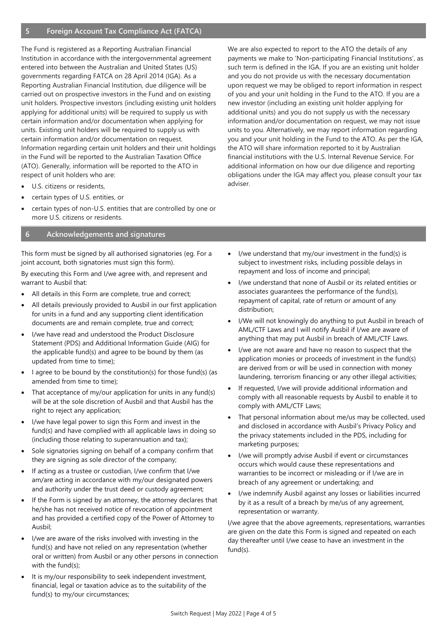The Fund is registered as a Reporting Australian Financial Institution in accordance with the intergovernmental agreement entered into between the Australian and United States (US) governments regarding FATCA on 28 April 2014 (IGA). As a Reporting Australian Financial Institution, due diligence will be carried out on prospective investors in the Fund and on existing unit holders. Prospective investors (including existing unit holders applying for additional units) will be required to supply us with certain information and/or documentation when applying for units. Existing unit holders will be required to supply us with certain information and/or documentation on request. Information regarding certain unit holders and their unit holdings in the Fund will be reported to the Australian Taxation Office (ATO). Generally, information will be reported to the ATO in respect of unit holders who are:

- U.S. citizens or residents,
- certain types of U.S. entities, or
- certain types of non-U.S. entities that are controlled by one or more U.S. citizens or residents.

## **6 Acknowledgements and signatures**

This form must be signed by all authorised signatories (eg. For a joint account, both signatories must sign this form).

By executing this Form and I/we agree with, and represent and warrant to Ausbil that:

- All details in this Form are complete, true and correct;
- All details previously provided to Ausbil in our first application for units in a fund and any supporting client identification documents are and remain complete, true and correct;
- I/we have read and understood the Product Disclosure Statement (PDS) and Additional Information Guide (AIG) for the applicable fund(s) and agree to be bound by them (as updated from time to time);
- I agree to be bound by the constitution(s) for those fund(s) (as amended from time to time);
- That acceptance of my/our application for units in any fund(s) will be at the sole discretion of Ausbil and that Ausbil has the right to reject any application;
- I/we have legal power to sign this Form and invest in the fund(s) and have complied with all applicable laws in doing so (including those relating to superannuation and tax);
- Sole signatories signing on behalf of a company confirm that they are signing as sole director of the company;
- If acting as a trustee or custodian, I/we confirm that I/we am/are acting in accordance with my/our designated powers and authority under the trust deed or custody agreement;
- If the Form is signed by an attorney, the attorney declares that he/she has not received notice of revocation of appointment and has provided a certified copy of the Power of Attorney to Ausbil;
- I/we are aware of the risks involved with investing in the fund(s) and have not relied on any representation (whether oral or written) from Ausbil or any other persons in connection with the fund(s);
- It is my/our responsibility to seek independent investment, financial, legal or taxation advice as to the suitability of the fund(s) to my/our circumstances;

We are also expected to report to the ATO the details of any payments we make to 'Non-participating Financial Institutions', as such term is defined in the IGA. If you are an existing unit holder and you do not provide us with the necessary documentation upon request we may be obliged to report information in respect of you and your unit holding in the Fund to the ATO. If you are a new investor (including an existing unit holder applying for additional units) and you do not supply us with the necessary information and/or documentation on request, we may not issue units to you. Alternatively, we may report information regarding you and your unit holding in the Fund to the ATO. As per the IGA, the ATO will share information reported to it by Australian financial institutions with the U.S. Internal Revenue Service. For additional information on how our due diligence and reporting obligations under the IGA may affect you, please consult your tax adviser.

- I/we understand that my/our investment in the fund(s) is subject to investment risks, including possible delays in repayment and loss of income and principal;
- I/we understand that none of Ausbil or its related entities or associates guarantees the performance of the fund(s), repayment of capital, rate of return or amount of any distribution;
- I/We will not knowingly do anything to put Ausbil in breach of AML/CTF Laws and I will notify Ausbil if I/we are aware of anything that may put Ausbil in breach of AML/CTF Laws.
- I/we are not aware and have no reason to suspect that the application monies or proceeds of investment in the fund(s) are derived from or will be used in connection with money laundering, terrorism financing or any other illegal activities;
- If requested, I/we will provide additional information and comply with all reasonable requests by Ausbil to enable it to comply with AML/CTF Laws;
- That personal information about me/us may be collected, used and disclosed in accordance with Ausbil's Privacy Policy and the privacy statements included in the PDS, including for marketing purposes;
- I/we will promptly advise Ausbil if event or circumstances occurs which would cause these representations and warranties to be incorrect or misleading or if I/we are in breach of any agreement or undertaking; and
- I/we indemnify Ausbil against any losses or liabilities incurred by it as a result of a breach by me/us of any agreement, representation or warranty.

I/we agree that the above agreements, representations, warranties are given on the date this Form is signed and repeated on each day thereafter until I/we cease to have an investment in the fund(s).